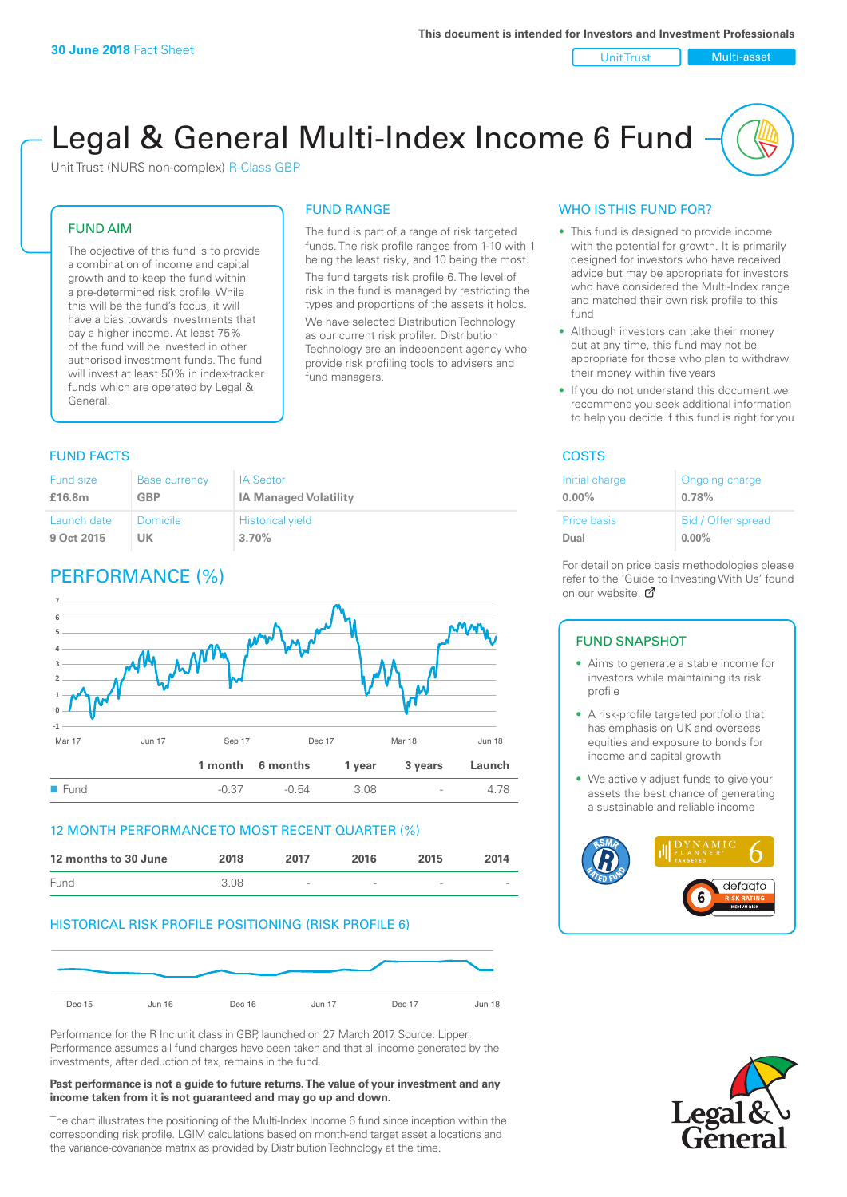#### Unit Trust Nulti-asset

# Legal & General Multi-Index Income 6 Fund

Unit Trust (NURS non-complex) R-Class GBP

# FUND AIM

The objective of this fund is to provide a combination of income and capital growth and to keep the fund within a pre-determined risk profile. While this will be the fund's focus, it will have a bias towards investments that pay a higher income. At least 75% of the fund will be invested in other authorised investment funds. The fund will invest at least 50% in index-tracker funds which are operated by Legal & General.

### The fund is part of a range of risk targeted

FUND RANGE

funds. The risk profile ranges from 1-10 with 1 being the least risky, and 10 being the most. The fund targets risk profile 6. The level of risk in the fund is managed by restricting the types and proportions of the assets it holds.

We have selected Distribution Technology as our current risk profiler. Distribution Technology are an independent agency who provide risk profiling tools to advisers and fund managers.

# **FUND FACTS** COSTS

| <b>Fund size</b> | <b>Base currency</b> | <b>IA Sector</b>             |
|------------------|----------------------|------------------------------|
| £16.8m           | <b>GBP</b>           | <b>IA Managed Volatility</b> |
| Launch date      | Domicile             | <b>Historical yield</b>      |
| 9 Oct 2015       | UK.                  | 3.70%                        |

# PERFORMANCE (%)



# 12 MONTH PERFORMANCE TO MOST RECENT QUARTER (%)

| 12 months to 30 June | 2018 | 2017   | 2016   | 2015                     | 2014   |
|----------------------|------|--------|--------|--------------------------|--------|
| Fund                 | 3.08 | $\sim$ | $\sim$ | $\overline{\phantom{a}}$ | $\sim$ |

# HISTORICAL RISK PROFILE POSITIONING (RISK PROFILE 6)



Performance for the R Inc unit class in GBP, launched on 27 March 2017. Source: Lipper. Performance assumes all fund charges have been taken and that all income generated by the investments, after deduction of tax, remains in the fund.

#### **Past performance is not a guide to future returns. The value of your investment and any income taken from it is not guaranteed and may go up and down.**

The chart illustrates the positioning of the Multi-Index Income 6 fund since inception within the corresponding risk profile. LGIM calculations based on month-end target asset allocations and the variance-covariance matrix as provided by Distribution Technology at the time.

# WHO IS THIS FUND FOR?

- This fund is designed to provide income with the potential for growth. It is primarily designed for investors who have received advice but may be appropriate for investors who have considered the Multi-Index range and matched their own risk profile to this fund
- Although investors can take their money out at any time, this fund may not be appropriate for those who plan to withdraw their money within five years
- If you do not understand this document we recommend you seek additional information to help you decide if this fund is right for you

| Initial charge | Ongoing charge     |
|----------------|--------------------|
| $0.00\%$       | 0.78%              |
| Price basis    | Bid / Offer spread |
| Dual           | $0.00\%$           |

For detail on price basis methodologies please refer to the 'Gu[ide t](http://www.legalandgeneral.com/guide)o Investing With Us' found on our website. Ø

# FUND SNAPSHOT

- Aims to generate a stable income for investors while maintaining its risk profile
- A risk-profile targeted portfolio that has emphasis on UK and overseas equities and exposure to bonds for income and capital growth
- We actively adjust funds to give your assets the best chance of generating a sustainable and reliable income



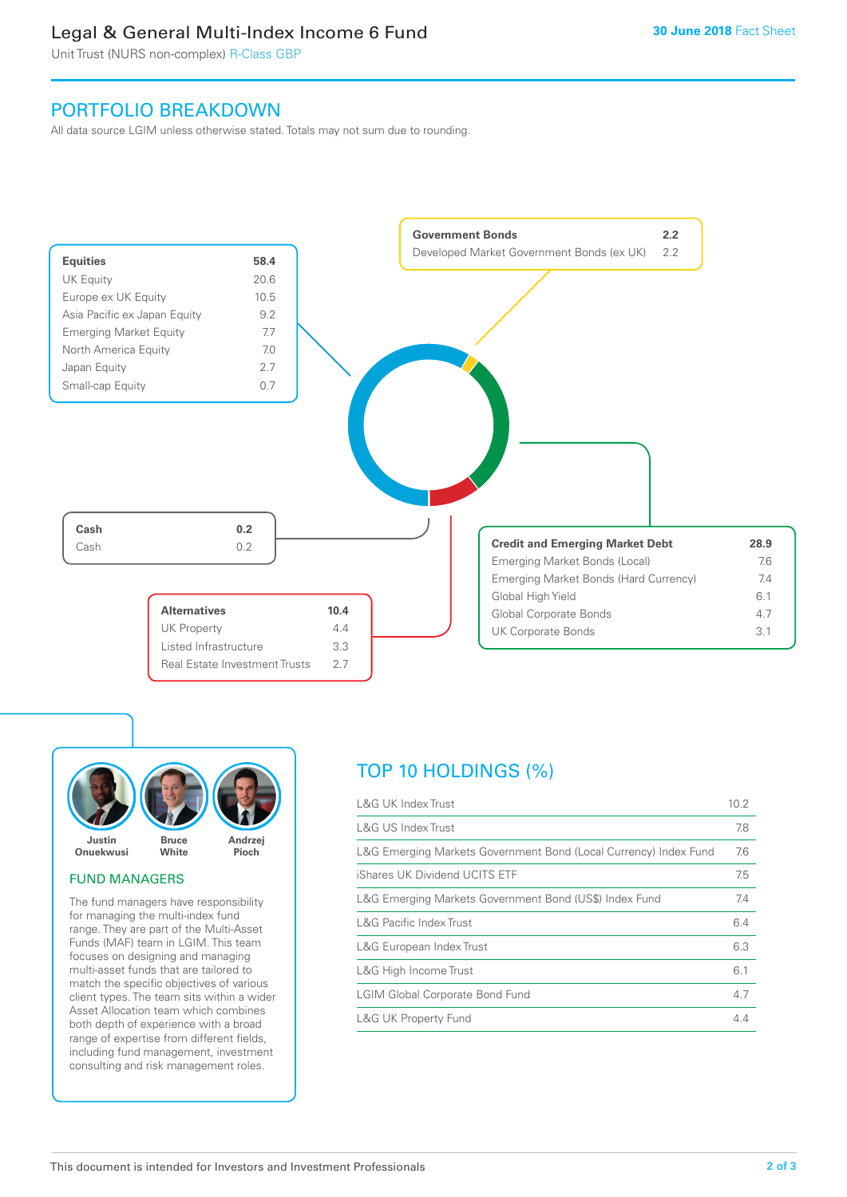# Legal & General Multi-Index Income 6 Fund

Unit Trust (NURS non-complex) R-Class GBP

# PORTFOLIO BREAKDOWN

All data source LGIM unless otherwise stated. Totals may not sum due to rounding.





# FUND MANAGERS

The fund managers have responsibility for managing the multi-index fund range. They are part of the Multi-Asset Funds (MAF) team in LGIM. This team focuses on designing and managing multi-asset funds that are tailored to match the specific objectives of various client types. The team sits within a wider Asset Allocation team which combines both depth of experience with a broad range of expertise from different fields, including fund management, investment consulting and risk management roles.

# TOP 10 HOLDINGS (%)

| <b>L&amp;G UK Index Trust</b>                                    | 10.2 |
|------------------------------------------------------------------|------|
| <b>L&amp;G US Index Trust</b>                                    | 7.8  |
| L&G Emerging Markets Government Bond (Local Currency) Index Fund | 7.6  |
| iShares UK Dividend UCITS ETF                                    | 7.5  |
| L&G Emerging Markets Government Bond (US\$) Index Fund           | 7.4  |
| <b>L&amp;G Pacific Index Trust</b>                               | 6.4  |
| L&G European Index Trust                                         | 6.3  |
| L&G High Income Trust                                            | 6.1  |
| <b>LGIM Global Corporate Bond Fund</b>                           | 4.7  |
| <b>L&amp;G UK Property Fund</b>                                  | 4.4  |